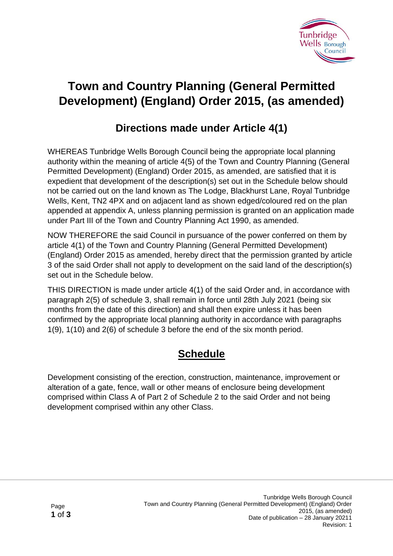

## **Town and Country Planning (General Permitted Development) (England) Order 2015, (as amended)**

## **Directions made under Article 4(1)**

WHEREAS Tunbridge Wells Borough Council being the appropriate local planning authority within the meaning of article 4(5) of the Town and Country Planning (General Permitted Development) (England) Order 2015, as amended, are satisfied that it is expedient that development of the description(s) set out in the Schedule below should not be carried out on the land known as The Lodge, Blackhurst Lane, Royal Tunbridge Wells, Kent, TN2 4PX and on adjacent land as shown edged/coloured red on the plan appended at appendix A, unless planning permission is granted on an application made under Part III of the Town and Country Planning Act 1990, as amended.

NOW THEREFORE the said Council in pursuance of the power conferred on them by article 4(1) of the Town and Country Planning (General Permitted Development) (England) Order 2015 as amended, hereby direct that the permission granted by article 3 of the said Order shall not apply to development on the said land of the description(s) set out in the Schedule below.

THIS DIRECTION is made under article 4(1) of the said Order and, in accordance with paragraph 2(5) of schedule 3, shall remain in force until 28th July 2021 (being six months from the date of this direction) and shall then expire unless it has been confirmed by the appropriate local planning authority in accordance with paragraphs 1(9), 1(10) and 2(6) of schedule 3 before the end of the six month period.

## **Schedule**

Development consisting of the erection, construction, maintenance, improvement or alteration of a gate, fence, wall or other means of enclosure being development comprised within Class A of Part 2 of Schedule 2 to the said Order and not being development comprised within any other Class.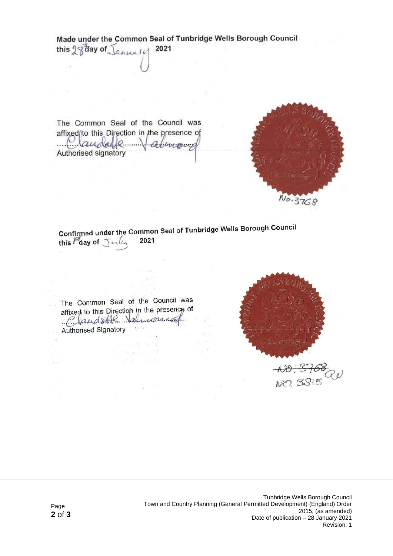Made under the Common Seal of Tunbridge Wells Borough Council this 28 day of January 2021

The Common Seal of the Council was affixed/to this Direction in the presence of Claudelle derroud Authorised signatory



Confirmed under the Common Seal of Tunbridge Wells Borough Council this Fay of July 2021

 $\frac{1}{2}$  ,  $\frac{1}{2}$  ,  $\frac{1}{2}$ 

The Common Seal of the Council was affixed to this Direction in the presence of Claudette Valmonica Authorised Signatory

> a kan and the g  $\mathcal{F}$  and  $\mathcal{F}$  are  $\mathcal{F}$  .

 $\sim 10^{10}$